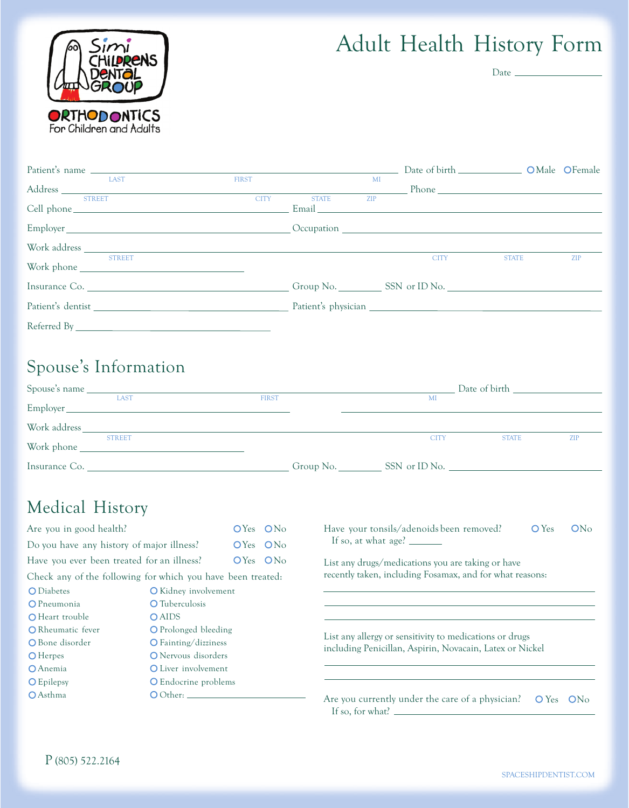

# Adult Health History Form

Date  $\_\_$ 

| Patient's name |              |              |    |                              | Date of birth _____________________ OMale OFemale |            |
|----------------|--------------|--------------|----|------------------------------|---------------------------------------------------|------------|
| LAST           | <b>FIRST</b> |              | MI |                              |                                                   |            |
|                |              |              |    | $\frac{1}{\text{ZIP}}$ Phone |                                                   |            |
| <b>STREET</b>  | <b>CITY</b>  | <b>STATE</b> |    |                              |                                                   |            |
|                |              |              |    |                              |                                                   |            |
|                |              |              |    |                              |                                                   |            |
| <b>STREET</b>  |              |              |    | <b>CITY</b>                  | <b>STATE</b>                                      | <b>ZIP</b> |
| Insurance Co.  |              |              |    |                              |                                                   |            |
|                |              |              |    |                              |                                                   |            |
|                |              |              |    |                              |                                                   |            |

## Spouse ' s Information

| <b>LAST</b>   | <b>FIRST</b> | MI          |              |            |  |
|---------------|--------------|-------------|--------------|------------|--|
| Employer      |              |             |              |            |  |
|               |              |             |              |            |  |
| <b>STREET</b> |              | <b>CITY</b> | <b>STATE</b> | <b>ZIP</b> |  |
| Insurance Co. |              |             |              |            |  |

# Medical History

| Are you in good health?                                                                                                   |                                       | OYes ON <sub>o</sub> |                                                                                       | Have your tonsils/adenoids been removed?<br>ON <sub>0</sub><br>$O$ Yes                                              |  |  |  |  |
|---------------------------------------------------------------------------------------------------------------------------|---------------------------------------|----------------------|---------------------------------------------------------------------------------------|---------------------------------------------------------------------------------------------------------------------|--|--|--|--|
| Do you have any history of major illness?                                                                                 |                                       | OYes ON <sub>o</sub> |                                                                                       |                                                                                                                     |  |  |  |  |
| Have you ever been treated for an illness?                                                                                |                                       | $OYes$ $ONo$         |                                                                                       | List any drugs/medications you are taking or have                                                                   |  |  |  |  |
| Check any of the following for which you have been treated:                                                               |                                       |                      |                                                                                       | recently taken, including Fosamax, and for what reasons:                                                            |  |  |  |  |
| O Diabetes                                                                                                                | <b>O</b> Kidney involvement           |                      |                                                                                       |                                                                                                                     |  |  |  |  |
| O Pneumonia                                                                                                               | <b>O</b> Tuberculosis                 |                      |                                                                                       |                                                                                                                     |  |  |  |  |
| O Heart trouble                                                                                                           | <b>O</b> AIDS<br>O Prolonged bleeding |                      |                                                                                       |                                                                                                                     |  |  |  |  |
| <b>O</b> Rheumatic fever                                                                                                  |                                       |                      |                                                                                       |                                                                                                                     |  |  |  |  |
| O Bone disorder<br>O Fainting/dizziness                                                                                   |                                       |                      |                                                                                       | List any allergy or sensitivity to medications or drugs<br>including Penicillan, Aspirin, Novacain, Latex or Nickel |  |  |  |  |
| <b>O</b> Herpes                                                                                                           |                                       | O Nervous disorders  |                                                                                       |                                                                                                                     |  |  |  |  |
| <b>O</b> Anemia<br>O Liver involvement<br><b>O</b> Epilepsy<br><b>O</b> Endocrine problems<br><b>O</b> Asthma<br>O Other: |                                       |                      |                                                                                       |                                                                                                                     |  |  |  |  |
|                                                                                                                           |                                       |                      |                                                                                       |                                                                                                                     |  |  |  |  |
|                                                                                                                           |                                       |                      | Are you currently under the care of a physician?<br>$O Yes$ $ONo$<br>If so, for what? |                                                                                                                     |  |  |  |  |